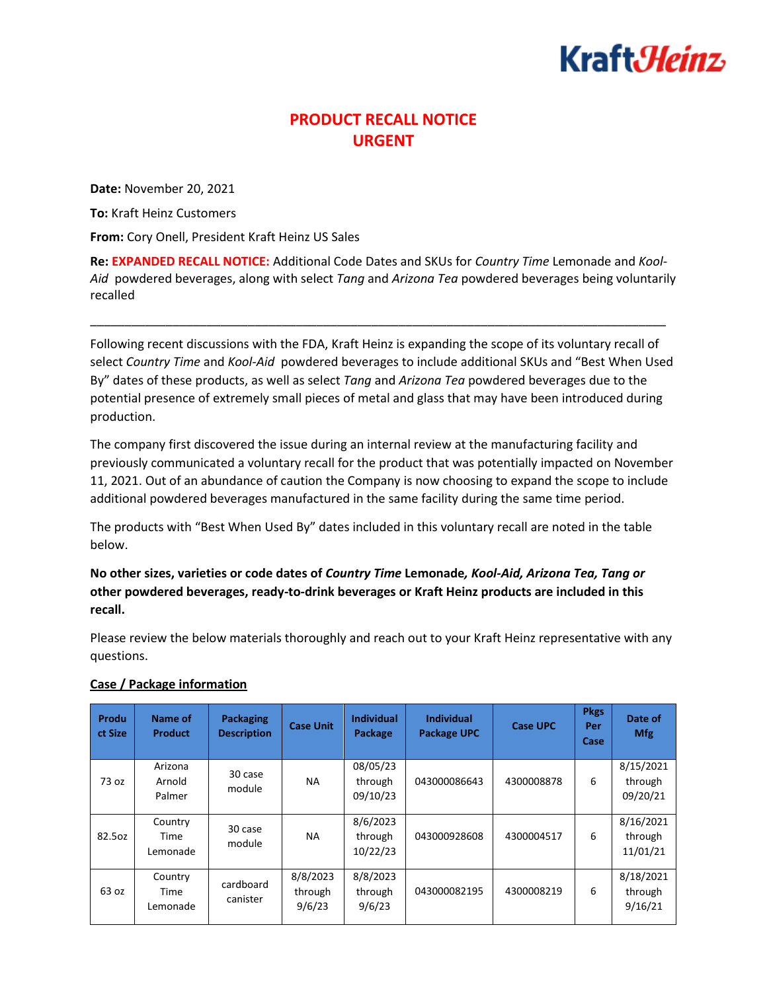## Kraft*:Heinz*

## **PRODUCT RECALL NOTICE URGENT**

**Date:** November 20, 2021

**To:** Kraft Heinz Customers

**From:** Cory Onell, President Kraft Heinz US Sales

**Re: EXPANDED RECALL NOTICE:** Additional Code Dates and SKUs for *Country Time* Lemonade and *Kool-Aid* powdered beverages, along with select *Tang* and *Arizona Tea* powdered beverages being voluntarily recalled

\_\_\_\_\_\_\_\_\_\_\_\_\_\_\_\_\_\_\_\_\_\_\_\_\_\_\_\_\_\_\_\_\_\_\_\_\_\_\_\_\_\_\_\_\_\_\_\_\_\_\_\_\_\_\_\_\_\_\_\_\_\_\_\_\_\_\_\_\_\_\_\_\_\_\_\_\_\_\_\_\_\_\_\_

Following recent discussions with the FDA, Kraft Heinz is expanding the scope of its voluntary recall of select *Country Time* and *Kool-Aid* powdered beverages to include additional SKUs and "Best When Used By" dates of these products, as well as select *Tang* and *Arizona Tea* powdered beverages due to the potential presence of extremely small pieces of metal and glass that may have been introduced during production.

The company first discovered the issue during an internal review at the manufacturing facility and previously communicated a voluntary recall for the product that was potentially impacted on November 11, 2021. Out of an abundance of caution the Company is now choosing to expand the scope to include additional powdered beverages manufactured in the same facility during the same time period.

The products with "Best When Used By" dates included in this voluntary recall are noted in the table below.

**No other sizes, varieties or code dates of** *Country Time* **Lemonade***, Kool-Aid, Arizona Tea, Tang or*  **other powdered beverages, ready-to-drink beverages or Kraft Heinz products are included in this recall.**

Please review the below materials thoroughly and reach out to your Kraft Heinz representative with any questions.

| Produ<br>ct Size | Name of<br><b>Product</b>   | Packaging<br><b>Description</b> | <b>Case Unit</b>              | <b>Individual</b><br><b>Package</b> | <b>Individual</b><br><b>Package UPC</b> | Case UPC   | <b>Pkgs</b><br>Per<br>Case | Date of<br><b>Mfg</b>            |
|------------------|-----------------------------|---------------------------------|-------------------------------|-------------------------------------|-----------------------------------------|------------|----------------------------|----------------------------------|
| 73 oz            | Arizona<br>Arnold<br>Palmer | 30 case<br>module               | NA.                           | 08/05/23<br>through<br>09/10/23     | 043000086643                            | 4300008878 | 6                          | 8/15/2021<br>through<br>09/20/21 |
| 82.5oz           | Country<br>Time<br>Lemonade | 30 case<br>module               | <b>NA</b>                     | 8/6/2023<br>through<br>10/22/23     | 043000928608                            | 4300004517 | 6                          | 8/16/2021<br>through<br>11/01/21 |
| 63 oz            | Country<br>Time<br>Lemonade | cardboard<br>canister           | 8/8/2023<br>through<br>9/6/23 | 8/8/2023<br>through<br>9/6/23       | 043000082195                            | 4300008219 | 6                          | 8/18/2021<br>through<br>9/16/21  |

## **Case / Package information**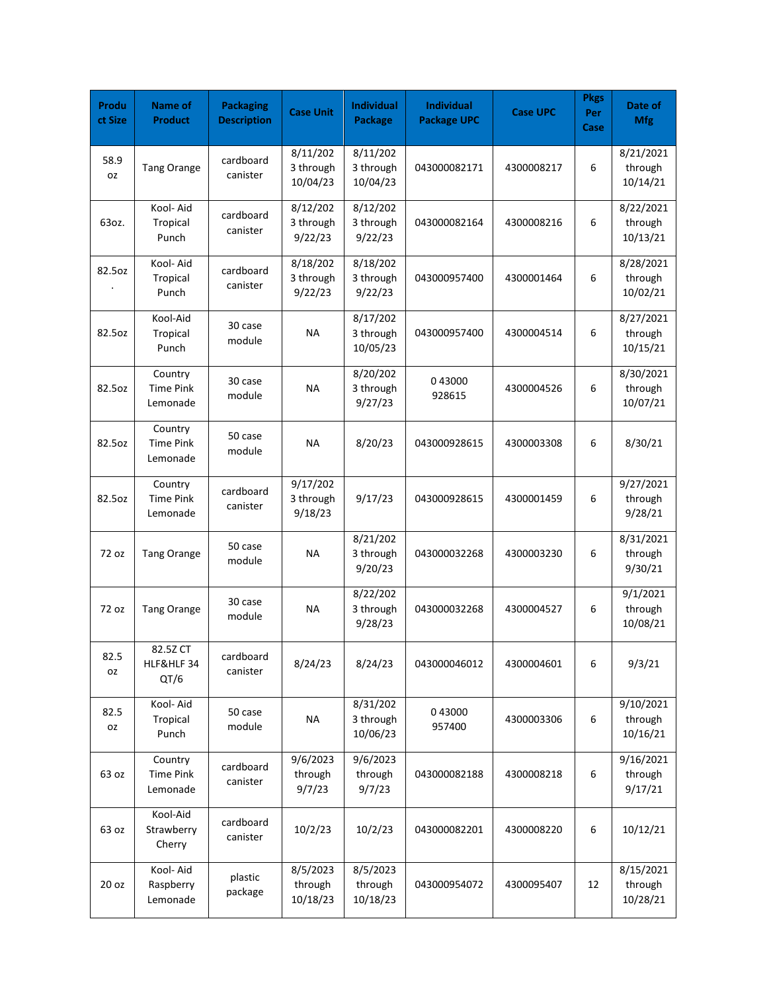| Produ<br>ct Size  | Name of<br><b>Product</b>               | <b>Packaging</b><br><b>Description</b> | <b>Case Unit</b>                  | <b>Individual</b><br>Package      | Individual<br><b>Package UPC</b> | <b>Case UPC</b> | <b>Pkgs</b><br>Per<br>Case | Date of<br><b>Mfg</b>            |
|-------------------|-----------------------------------------|----------------------------------------|-----------------------------------|-----------------------------------|----------------------------------|-----------------|----------------------------|----------------------------------|
| 58.9<br><b>OZ</b> | <b>Tang Orange</b>                      | cardboard<br>canister                  | 8/11/202<br>3 through<br>10/04/23 | 8/11/202<br>3 through<br>10/04/23 | 043000082171                     | 4300008217      | 6                          | 8/21/2021<br>through<br>10/14/21 |
| 63oz.             | Kool- Aid<br>Tropical<br>Punch          | cardboard<br>canister                  | 8/12/202<br>3 through<br>9/22/23  | 8/12/202<br>3 through<br>9/22/23  | 043000082164                     | 4300008216      | 6                          | 8/22/2021<br>through<br>10/13/21 |
| 82.5oz            | Kool- Aid<br>Tropical<br>Punch          | cardboard<br>canister                  | 8/18/202<br>3 through<br>9/22/23  | 8/18/202<br>3 through<br>9/22/23  | 043000957400                     | 4300001464      | 6                          | 8/28/2021<br>through<br>10/02/21 |
| 82.5oz            | Kool-Aid<br>Tropical<br>Punch           | 30 case<br>module                      | <b>NA</b>                         | 8/17/202<br>3 through<br>10/05/23 | 043000957400                     | 4300004514      | 6                          | 8/27/2021<br>through<br>10/15/21 |
| 82.5oz            | Country<br><b>Time Pink</b><br>Lemonade | 30 case<br>module                      | <b>NA</b>                         | 8/20/202<br>3 through<br>9/27/23  | 043000<br>928615                 | 4300004526      | 6                          | 8/30/2021<br>through<br>10/07/21 |
| 82.5oz            | Country<br><b>Time Pink</b><br>Lemonade | 50 case<br>module                      | <b>NA</b>                         | 8/20/23                           | 043000928615                     | 4300003308      | 6                          | 8/30/21                          |
| 82.5oz            | Country<br><b>Time Pink</b><br>Lemonade | cardboard<br>canister                  | 9/17/202<br>3 through<br>9/18/23  | 9/17/23                           | 043000928615                     | 4300001459      | 6                          | 9/27/2021<br>through<br>9/28/21  |
| 72 oz             | <b>Tang Orange</b>                      | 50 case<br>module                      | <b>NA</b>                         | 8/21/202<br>3 through<br>9/20/23  | 043000032268                     | 4300003230      | 6                          | 8/31/2021<br>through<br>9/30/21  |
| 72 oz             | <b>Tang Orange</b>                      | 30 case<br>module                      | <b>NA</b>                         | 8/22/202<br>3 through<br>9/28/23  | 043000032268                     | 4300004527      | 6                          | 9/1/2021<br>through<br>10/08/21  |
| 82.5<br>oz        | 82.5Z CT<br>HLF&HLF 34<br>QT/6          | cardboard<br>canister                  | 8/24/23                           | 8/24/23                           | 043000046012                     | 4300004601      | 6                          | 9/3/21                           |
| 82.5<br>0Z        | Kool- Aid<br>Tropical<br>Punch          | 50 case<br>module                      | <b>NA</b>                         | 8/31/202<br>3 through<br>10/06/23 | 043000<br>957400                 | 4300003306      | 6                          | 9/10/2021<br>through<br>10/16/21 |
| 63 oz             | Country<br><b>Time Pink</b><br>Lemonade | cardboard<br>canister                  | 9/6/2023<br>through<br>9/7/23     | 9/6/2023<br>through<br>9/7/23     | 043000082188                     | 4300008218      | 6                          | 9/16/2021<br>through<br>9/17/21  |
| 63 oz             | Kool-Aid<br>Strawberry<br>Cherry        | cardboard<br>canister                  | 10/2/23                           | 10/2/23                           | 043000082201                     | 4300008220      | 6                          | 10/12/21                         |
| 20 oz             | Kool- Aid<br>Raspberry<br>Lemonade      | plastic<br>package                     | 8/5/2023<br>through<br>10/18/23   | 8/5/2023<br>through<br>10/18/23   | 043000954072                     | 4300095407      | 12                         | 8/15/2021<br>through<br>10/28/21 |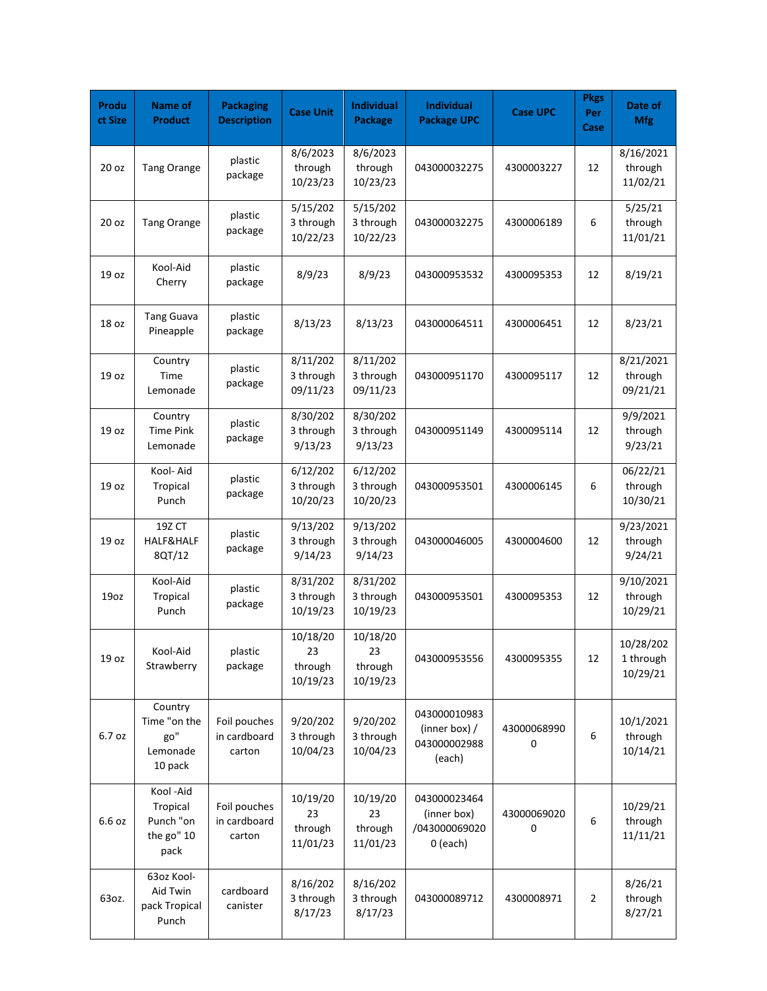| Produ<br>ct Size | Name of<br><b>Product</b>                               | <b>Packaging</b><br><b>Description</b> | <b>Case Unit</b>                      | <b>Individual</b><br>Package          | Individual<br><b>Package UPC</b>                           | <b>Case UPC</b>  | <b>Pkgs</b><br>Per<br>Case | Date of<br><b>Mfg</b>              |
|------------------|---------------------------------------------------------|----------------------------------------|---------------------------------------|---------------------------------------|------------------------------------------------------------|------------------|----------------------------|------------------------------------|
| 20 oz            | <b>Tang Orange</b>                                      | plastic<br>package                     | 8/6/2023<br>through<br>10/23/23       | 8/6/2023<br>through<br>10/23/23       | 043000032275                                               | 4300003227       | 12                         | 8/16/2021<br>through<br>11/02/21   |
| 20 oz            | <b>Tang Orange</b>                                      | plastic<br>package                     | 5/15/202<br>3 through<br>10/22/23     | 5/15/202<br>3 through<br>10/22/23     | 043000032275                                               | 4300006189       | 6                          | 5/25/21<br>through<br>11/01/21     |
| 19 oz            | Kool-Aid<br>Cherry                                      | plastic<br>package                     | 8/9/23                                | 8/9/23                                | 043000953532                                               | 4300095353       | 12                         | 8/19/21                            |
| 18 oz            | <b>Tang Guava</b><br>Pineapple                          | plastic<br>package                     | 8/13/23                               | 8/13/23                               | 043000064511                                               | 4300006451       | 12                         | 8/23/21                            |
| 19 oz            | Country<br>Time<br>Lemonade                             | plastic<br>package                     | 8/11/202<br>3 through<br>09/11/23     | 8/11/202<br>3 through<br>09/11/23     | 043000951170                                               | 4300095117       | 12                         | 8/21/2021<br>through<br>09/21/21   |
| 19 oz            | Country<br><b>Time Pink</b><br>Lemonade                 | plastic<br>package                     | 8/30/202<br>3 through<br>9/13/23      | 8/30/202<br>3 through<br>9/13/23      | 043000951149                                               | 4300095114       | 12                         | 9/9/2021<br>through<br>9/23/21     |
| 19 oz            | Kool- Aid<br>Tropical<br>Punch                          | plastic<br>package                     | 6/12/202<br>3 through<br>10/20/23     | 6/12/202<br>3 through<br>10/20/23     | 043000953501                                               | 4300006145       | 6                          | 06/22/21<br>through<br>10/30/21    |
| 19 oz            | 19Z CT<br>HALF&HALF<br>8QT/12                           | plastic<br>package                     | 9/13/202<br>3 through<br>9/14/23      | 9/13/202<br>3 through<br>9/14/23      | 043000046005                                               | 4300004600       | 12                         | 9/23/2021<br>through<br>9/24/21    |
| 19oz             | Kool-Aid<br>Tropical<br>Punch                           | plastic<br>package                     | 8/31/202<br>3 through<br>10/19/23     | 8/31/202<br>3 through<br>10/19/23     | 043000953501                                               | 4300095353       | 12                         | 9/10/2021<br>through<br>10/29/21   |
| 19 oz            | Kool-Aid<br>Strawberry                                  | plastic<br>package                     | 10/18/20<br>23<br>through<br>10/19/23 | 10/18/20<br>23<br>through<br>10/19/23 | 043000953556                                               | 4300095355       | 12                         | 10/28/202<br>1 through<br>10/29/21 |
| 6.7 oz           | Country<br>Time "on the<br>go"<br>Lemonade<br>10 pack   | Foil pouches<br>in cardboard<br>carton | 9/20/202<br>3 through<br>10/04/23     | 9/20/202<br>3 through<br>10/04/23     | 043000010983<br>(inner box) /<br>043000002988<br>(each)    | 43000068990<br>0 | 6                          | 10/1/2021<br>through<br>10/14/21   |
| 6.6 oz           | Kool-Aid<br>Tropical<br>Punch "on<br>the go" 10<br>pack | Foil pouches<br>in cardboard<br>carton | 10/19/20<br>23<br>through<br>11/01/23 | 10/19/20<br>23<br>through<br>11/01/23 | 043000023464<br>(inner box)<br>/043000069020<br>$0$ (each) | 43000069020<br>0 | 6                          | 10/29/21<br>through<br>11/11/21    |
| 63oz.            | 63oz Kool-<br>Aid Twin<br>pack Tropical<br>Punch        | cardboard<br>canister                  | 8/16/202<br>3 through<br>8/17/23      | 8/16/202<br>3 through<br>8/17/23      | 043000089712                                               | 4300008971       | $\overline{2}$             | 8/26/21<br>through<br>8/27/21      |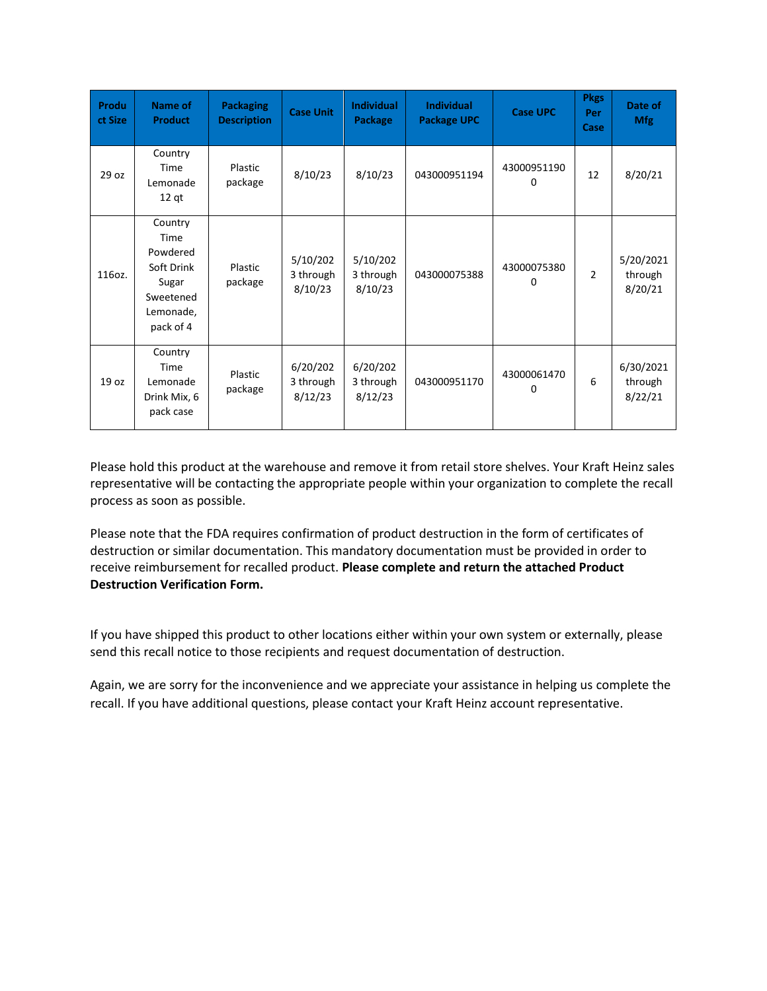| Produ<br>ct Size | <b>Name of</b><br><b>Product</b>                                                          | <b>Packaging</b><br><b>Description</b> | <b>Case Unit</b>                 | <b>Individual</b><br>Package     | <b>Individual</b><br><b>Package UPC</b> | <b>Case UPC</b>  | <b>Pkgs</b><br>Per<br>Case | Date of<br><b>Mfg</b>           |
|------------------|-------------------------------------------------------------------------------------------|----------------------------------------|----------------------------------|----------------------------------|-----------------------------------------|------------------|----------------------------|---------------------------------|
| 29 oz            | Country<br>Time<br>Lemonade<br>$12$ qt                                                    | Plastic<br>package                     | 8/10/23                          | 8/10/23                          | 043000951194                            | 43000951190<br>0 | 12                         | 8/20/21                         |
| 116oz.           | Country<br>Time<br>Powdered<br>Soft Drink<br>Sugar<br>Sweetened<br>Lemonade,<br>pack of 4 | Plastic<br>package                     | 5/10/202<br>3 through<br>8/10/23 | 5/10/202<br>3 through<br>8/10/23 | 043000075388                            | 43000075380<br>0 | $\overline{2}$             | 5/20/2021<br>through<br>8/20/21 |
| 19 <sub>oz</sub> | Country<br>Time<br>Lemonade<br>Drink Mix, 6<br>pack case                                  | Plastic<br>package                     | 6/20/202<br>3 through<br>8/12/23 | 6/20/202<br>3 through<br>8/12/23 | 043000951170                            | 43000061470<br>0 | 6                          | 6/30/2021<br>through<br>8/22/21 |

Please hold this product at the warehouse and remove it from retail store shelves. Your Kraft Heinz sales representative will be contacting the appropriate people within your organization to complete the recall process as soon as possible.

Please note that the FDA requires confirmation of product destruction in the form of certificates of destruction or similar documentation. This mandatory documentation must be provided in order to receive reimbursement for recalled product. **Please complete and return the attached Product Destruction Verification Form.** 

If you have shipped this product to other locations either within your own system or externally, please send this recall notice to those recipients and request documentation of destruction.

Again, we are sorry for the inconvenience and we appreciate your assistance in helping us complete the recall. If you have additional questions, please contact your Kraft Heinz account representative.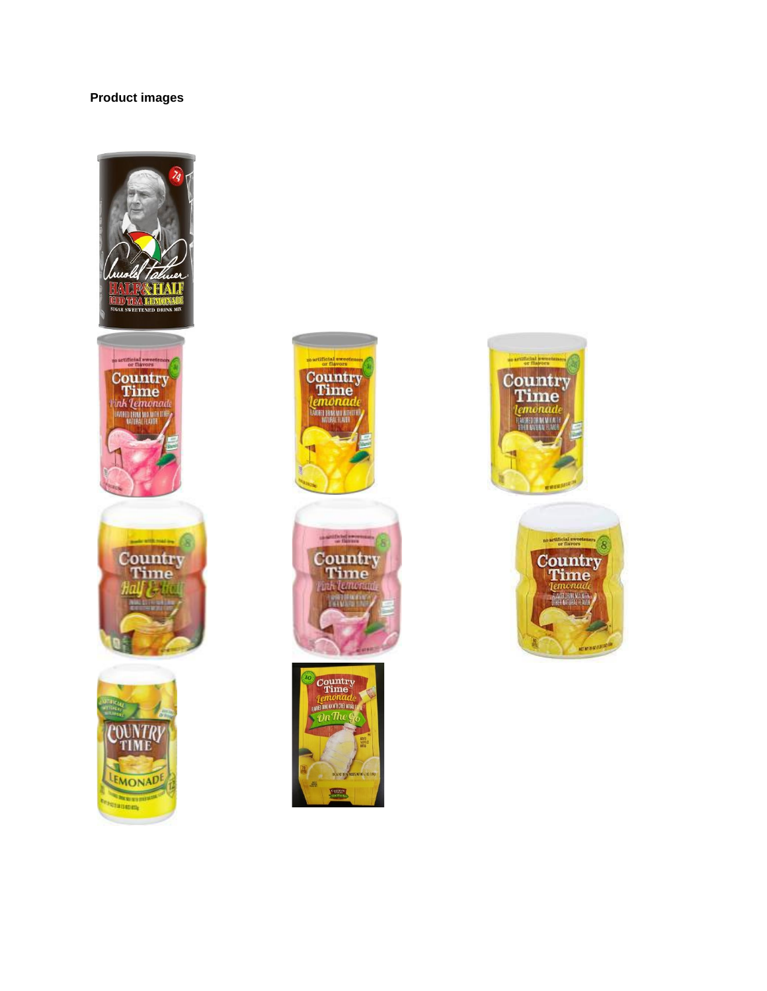## **Product images**